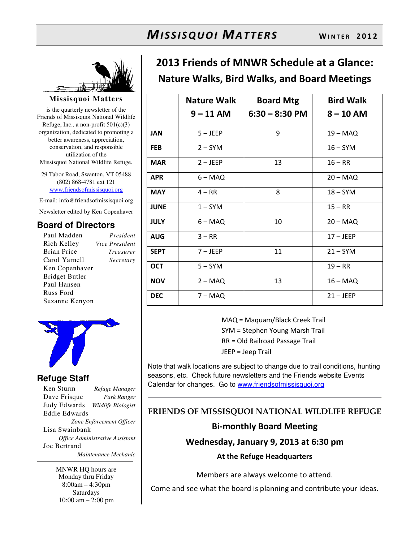

**Missisquoi Matters** 

is the quarterly newsletter of the Friends of Missisquoi National Wildlife Refuge, Inc., a non-profit  $501(c)(3)$ organization, dedicated to promoting a better awareness, appreciation, conservation, and responsible utilization of the Missisquoi National Wildlife Refuge.

29 Tabor Road, Swanton, VT 05488 (802) 868-4781 ext 121 www.friendsofmissisquoi.org

E-mail: info@friendsofmissisquoi.org Newsletter edited by Ken Copenhaver

## **Board of Directors**

Paul Madden *President* Rich Kelley *Vice President* Brian Price *Treasurer* Carol Yarnell *Secretary* Ken Copenhaver Bridget Butler Paul Hansen Russ Ford Suzanne Kenyon



## **Refuge Staff**

Ken Sturm *Refuge Manager* Dave Frisque *Park Ranger* Judy Edwards *Wildlife Biologist* Eddie Edwards *Zone Enforcement Officer* Lisa Swainbank *Office Administrative Assistant*  Joe Bertrand  *Maintenance Mechanic*

> MNWR HQ hours are Monday thru Friday 8:00am – 4:30pm Saturdays 10:00 am – 2:00 pm

## 2013 Friends of MNWR Schedule at a Glance: Nature Walks, Bird Walks, and Board Meetings

|             | <b>Nature Walk</b> | <b>Board Mtg</b> | <b>Bird Walk</b> |
|-------------|--------------------|------------------|------------------|
|             | $9 - 11$ AM        | $6:30 - 8:30$ PM | $8 - 10$ AM      |
| <b>JAN</b>  | $5 - JEEP$         | 9                | $19 - MAQ$       |
| <b>FEB</b>  | $2 - SYM$          |                  | $16 - SYM$       |
| <b>MAR</b>  | $2 - JEEP$         | 13               | $16 - RR$        |
| <b>APR</b>  | $6 - MAQ$          |                  | $20 - MAQ$       |
| <b>MAY</b>  | $4 - RR$           | 8                | $18 - SYM$       |
| <b>JUNE</b> | $1 - SYM$          |                  | $15 - RR$        |
| <b>JULY</b> | $6 - MAQ$          | 10               | $20 - MAQ$       |
| <b>AUG</b>  | $3 - RR$           |                  | $17 - JEEP$      |
| <b>SEPT</b> | $7 - JEEP$         | 11               | $21 - SYM$       |
| <b>OCT</b>  | $5 - SYM$          |                  | $19 - RR$        |
| <b>NOV</b>  | $2 - MAQ$          | 13               | $16 - MAQ$       |
| <b>DEC</b>  | $7 - MAQ$          |                  | $21 - JEEP$      |

MAQ = Maquam/Black Creek Trail SYM = Stephen Young Marsh Trail RR = Old Railroad Passage Trail JEEP = Jeep Trail

Note that walk locations are subject to change due to trail conditions, hunting seasons, etc. Check future newsletters and the Friends website Events Calendar for changes. Go to www.friendsofmissisquoi.org

## FRIENDS OF MISSISQUOI NATIONAL WILDLIFE REFUGE

#### Bi-monthly Board Meeting

#### Wednesday, January 9, 2013 at 6:30 pm

At the Refuge Headquarters

Members are always welcome to attend.

Come and see what the board is planning and contribute your ideas.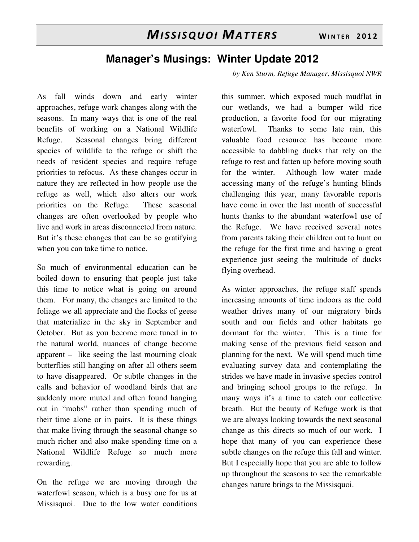## **Manager's Musings: Winter Update 2012**

As fall winds down and early winter approaches, refuge work changes along with the seasons. In many ways that is one of the real benefits of working on a National Wildlife Refuge. Seasonal changes bring different species of wildlife to the refuge or shift the needs of resident species and require refuge priorities to refocus. As these changes occur in nature they are reflected in how people use the refuge as well, which also alters our work priorities on the Refuge. These seasonal changes are often overlooked by people who live and work in areas disconnected from nature. But it's these changes that can be so gratifying when you can take time to notice.

So much of environmental education can be boiled down to ensuring that people just take this time to notice what is going on around them. For many, the changes are limited to the foliage we all appreciate and the flocks of geese that materialize in the sky in September and October. But as you become more tuned in to the natural world, nuances of change become apparent – like seeing the last mourning cloak butterflies still hanging on after all others seem to have disappeared. Or subtle changes in the calls and behavior of woodland birds that are suddenly more muted and often found hanging out in "mobs" rather than spending much of their time alone or in pairs. It is these things that make living through the seasonal change so much richer and also make spending time on a National Wildlife Refuge so much more rewarding.

On the refuge we are moving through the waterfowl season, which is a busy one for us at Missisquoi. Due to the low water conditions

*by Ken Sturm, Refuge Manager, Missisquoi NWR* 

this summer, which exposed much mudflat in our wetlands, we had a bumper wild rice production, a favorite food for our migrating waterfowl. Thanks to some late rain, this valuable food resource has become more accessible to dabbling ducks that rely on the refuge to rest and fatten up before moving south for the winter. Although low water made accessing many of the refuge's hunting blinds challenging this year, many favorable reports have come in over the last month of successful hunts thanks to the abundant waterfowl use of the Refuge. We have received several notes from parents taking their children out to hunt on the refuge for the first time and having a great experience just seeing the multitude of ducks flying overhead.

As winter approaches, the refuge staff spends increasing amounts of time indoors as the cold weather drives many of our migratory birds south and our fields and other habitats go dormant for the winter. This is a time for making sense of the previous field season and planning for the next. We will spend much time evaluating survey data and contemplating the strides we have made in invasive species control and bringing school groups to the refuge. In many ways it's a time to catch our collective breath. But the beauty of Refuge work is that we are always looking towards the next seasonal change as this directs so much of our work. I hope that many of you can experience these subtle changes on the refuge this fall and winter. But I especially hope that you are able to follow up throughout the seasons to see the remarkable changes nature brings to the Missisquoi.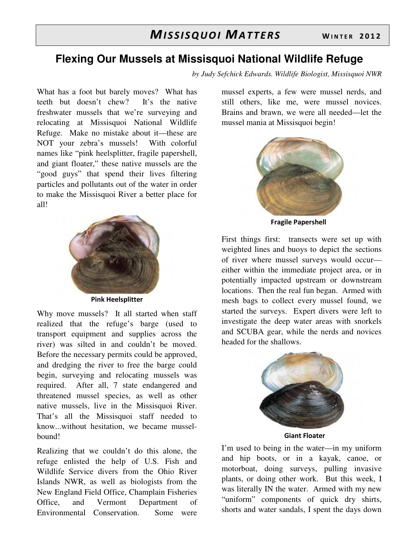## **Flexing Our Mussels at Missisquoi National Wildlife Refuge**

*by Judy Sefchick Edwards. Wildlife Biologist, Missisquoi NWR*

What has a foot but barely moves? What has teeth but doesn't chew? It's the native freshwater mussels that we're surveying and relocating at Missisquoi National Wildlife Refuge. Make no mistake about it—these are NOT your zebra's mussels! With colorful names like "pink heelsplitter, fragile papershell, and giant floater," these native mussels are the "good guys" that spend their lives filtering particles and pollutants out of the water in order to make the Missisquoi River a better place for all!



Pink Heelsplitter

Why move mussels? It all started when staff realized that the refuge's barge (used to transport equipment and supplies across the river) was silted in and couldn't be moved. Before the necessary permits could be approved, and dredging the river to free the barge could begin, surveying and relocating mussels was required. After all, 7 state endangered and threatened mussel species, as well as other native mussels, live in the Missisquoi River. That's all the Missisquoi staff needed to know...without hesitation, we became musselbound!

Realizing that we couldn't do this alone, the refuge enlisted the help of U.S. Fish and Wildlife Service divers from the Ohio River Islands NWR, as well as biologists from the New England Field Office, Champlain Fisheries Office, and Vermont Department of Environmental Conservation. Some were

mussel experts, a few were mussel nerds, and still others, like me, were mussel novices. Brains and brawn, we were all needed—let the mussel mania at Missisquoi begin!



Fragile Papershell

First things first: transects were set up with weighted lines and buoys to depict the sections of river where mussel surveys would occur either within the immediate project area, or in potentially impacted upstream or downstream locations. Then the real fun began. Armed with mesh bags to collect every mussel found, we started the surveys. Expert divers were left to investigate the deep water areas with snorkels and SCUBA gear, while the nerds and novices headed for the shallows.



Giant Floater

I'm used to being in the water—in my uniform and hip boots, or in a kayak, canoe, or motorboat, doing surveys, pulling invasive plants, or doing other work. But this week, I was literally IN the water. Armed with my new "uniform" components of quick dry shirts, shorts and water sandals, I spent the days down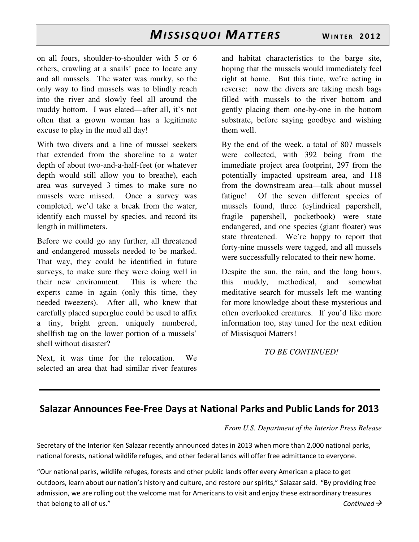on all fours, shoulder-to-shoulder with 5 or 6 others, crawling at a snails' pace to locate any and all mussels. The water was murky, so the only way to find mussels was to blindly reach into the river and slowly feel all around the muddy bottom. I was elated—after all, it's not often that a grown woman has a legitimate excuse to play in the mud all day!

With two divers and a line of mussel seekers that extended from the shoreline to a water depth of about two-and-a-half-feet (or whatever depth would still allow you to breathe), each area was surveyed 3 times to make sure no mussels were missed. Once a survey was completed, we'd take a break from the water, identify each mussel by species, and record its length in millimeters.

Before we could go any further, all threatened and endangered mussels needed to be marked. That way, they could be identified in future surveys, to make sure they were doing well in their new environment. This is where the experts came in again (only this time, they needed tweezers). After all, who knew that carefully placed superglue could be used to affix a tiny, bright green, uniquely numbered, shellfish tag on the lower portion of a mussels' shell without disaster?

Next, it was time for the relocation. We selected an area that had similar river features

and habitat characteristics to the barge site, hoping that the mussels would immediately feel right at home. But this time, we're acting in reverse: now the divers are taking mesh bags filled with mussels to the river bottom and gently placing them one-by-one in the bottom substrate, before saying goodbye and wishing them well.

By the end of the week, a total of 807 mussels were collected, with 392 being from the immediate project area footprint, 297 from the potentially impacted upstream area, and 118 from the downstream area—talk about mussel fatigue! Of the seven different species of mussels found, three (cylindrical papershell, fragile papershell, pocketbook) were state endangered, and one species (giant floater) was state threatened. We're happy to report that forty-nine mussels were tagged, and all mussels were successfully relocated to their new home.

Despite the sun, the rain, and the long hours, this muddy, methodical, and somewhat meditative search for mussels left me wanting for more knowledge about these mysterious and often overlooked creatures. If you'd like more information too, stay tuned for the next edition of Missisquoi Matters!

*TO BE CONTINUED!* 

## Salazar Announces Fee-Free Days at National Parks and Public Lands for 2013

#### *From U.S. Department of the Interior Press Release*

Secretary of the Interior Ken Salazar recently announced dates in 2013 when more than 2,000 national parks, national forests, national wildlife refuges, and other federal lands will offer free admittance to everyone.

"Our national parks, wildlife refuges, forests and other public lands offer every American a place to get outdoors, learn about our nation's history and culture, and restore our spirits," Salazar said. "By providing free admission, we are rolling out the welcome mat for Americans to visit and enjoy these extraordinary treasures that belong to all of us." The continued  $\rightarrow$  Continued  $\rightarrow$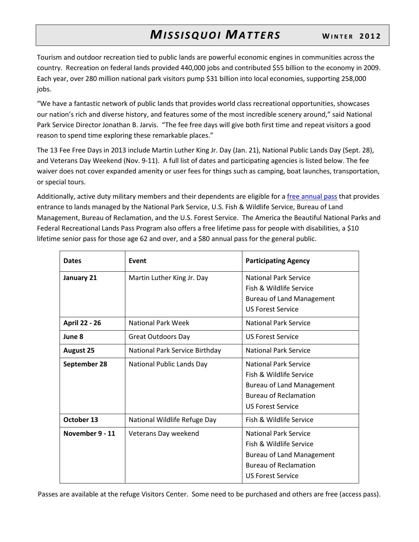Tourism and outdoor recreation tied to public lands are powerful economic engines in communities across the country. Recreation on federal lands provided 440,000 jobs and contributed \$55 billion to the economy in 2009. Each year, over 280 million national park visitors pump \$31 billion into local economies, supporting 258,000 jobs.

"We have a fantastic network of public lands that provides world class recreational opportunities, showcases our nation's rich and diverse history, and features some of the most incredible scenery around," said National Park Service Director Jonathan B. Jarvis. "The fee free days will give both first time and repeat visitors a good reason to spend time exploring these remarkable places."

The 13 Fee Free Days in 2013 include Martin Luther King Jr. Day (Jan. 21), National Public Lands Day (Sept. 28), and Veterans Day Weekend (Nov. 9-11). A full list of dates and participating agencies is listed below. The fee waiver does not cover expanded amenity or user fees for things such as camping, boat launches, transportation, or special tours.

Additionally, active duty military members and their dependents are eligible for a free annual pass that provides entrance to lands managed by the National Park Service, U.S. Fish & Wildlife Service, Bureau of Land Management, Bureau of Reclamation, and the U.S. Forest Service. The America the Beautiful National Parks and Federal Recreational Lands Pass Program also offers a free lifetime pass for people with disabilities, a \$10 lifetime senior pass for those age 62 and over, and a \$80 annual pass for the general public.

| <b>Dates</b>         | Event                          | <b>Participating Agency</b>                                                                                                                             |
|----------------------|--------------------------------|---------------------------------------------------------------------------------------------------------------------------------------------------------|
| January 21           | Martin Luther King Jr. Day     | <b>National Park Service</b><br>Fish & Wildlife Service<br><b>Bureau of Land Management</b><br><b>US Forest Service</b>                                 |
| <b>April 22 - 26</b> | National Park Week             | <b>National Park Service</b>                                                                                                                            |
| June 8               | Great Outdoors Day             | <b>US Forest Service</b>                                                                                                                                |
| <b>August 25</b>     | National Park Service Birthday | <b>National Park Service</b>                                                                                                                            |
| September 28         | National Public Lands Day      | <b>National Park Service</b><br>Fish & Wildlife Service<br><b>Bureau of Land Management</b><br><b>Bureau of Reclamation</b><br><b>US Forest Service</b> |
| October 13           | National Wildlife Refuge Day   | Fish & Wildlife Service                                                                                                                                 |
| November 9 - 11      | Veterans Day weekend           | <b>National Park Service</b><br>Fish & Wildlife Service<br><b>Bureau of Land Management</b><br><b>Bureau of Reclamation</b><br><b>US Forest Service</b> |

Passes are available at the refuge Visitors Center. Some need to be purchased and others are free (access pass).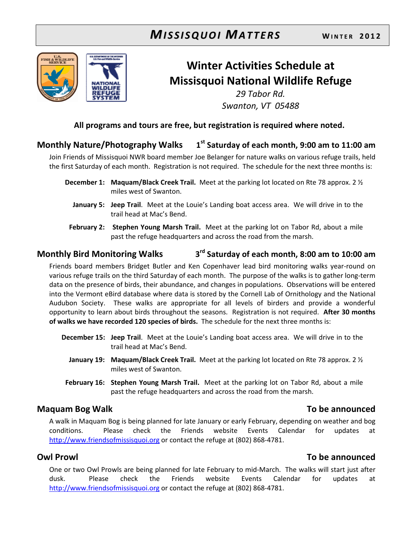

## Winter Activities Schedule at Missisquoi National Wildlife Refuge

29 Tabor Rd. Swanton, VT 05488

#### All programs and tours are free, but registration is required where noted.

#### Monthly Nature/Photography Walks 1  $1<sup>st</sup>$  Saturday of each month, 9:00 am to 11:00 am

Join Friends of Missisquoi NWR board member Joe Belanger for nature walks on various refuge trails, held the first Saturday of each month. Registration is not required. The schedule for the next three months is:

- **December 1: Maquam/Black Creek Trail.** Meet at the parking lot located on Rte 78 approx. 2  $\frac{1}{2}$ miles west of Swanton.
	- January 5: Jeep Trail. Meet at the Louie's Landing boat access area. We will drive in to the trail head at Mac's Bend.
- February 2: Stephen Young Marsh Trail. Meet at the parking lot on Tabor Rd, about a mile past the refuge headquarters and across the road from the marsh.

#### Monthly Bird Monitoring Walks 3 3<sup>rd</sup> Saturday of each month, 8:00 am to 10:00 am

Friends board members Bridget Butler and Ken Copenhaver lead bird monitoring walks year-round on various refuge trails on the third Saturday of each month. The purpose of the walks is to gather long-term data on the presence of birds, their abundance, and changes in populations. Observations will be entered into the Vermont eBird database where data is stored by the Cornell Lab of Ornithology and the National Audubon Society. These walks are appropriate for all levels of birders and provide a wonderful opportunity to learn about birds throughout the seasons. Registration is not required. After 30 months of walks we have recorded 120 species of birds. The schedule for the next three months is:

- December 15: Jeep Trail. Meet at the Louie's Landing boat access area. We will drive in to the trail head at Mac's Bend.
	- **January 19: Maquam/Black Creek Trail.** Meet at the parking lot located on Rte 78 approx. 2  $\frac{1}{2}$ miles west of Swanton.
- February 16: Stephen Young Marsh Trail. Meet at the parking lot on Tabor Rd, about a mile past the refuge headquarters and across the road from the marsh.

## Maquam Bog Walk **To be announced**

A walk in Maquam Bog is being planned for late January or early February, depending on weather and bog conditions. Please check the Friends website Events Calendar for updates at http://www.friendsofmissisquoi.org or contact the refuge at (802) 868-4781.

## Owl Prowl To be announced

One or two Owl Prowls are being planned for late February to mid-March. The walks will start just after dusk. Please check the Friends website Events Calendar for updates at http://www.friendsofmissisquoi.org or contact the refuge at (802) 868-4781.